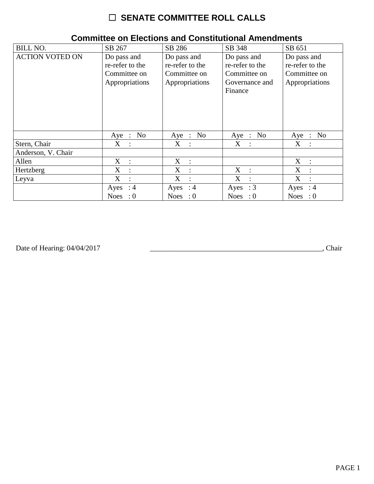## ☐ **SENATE COMMITTEE ROLL CALLS**

| <b>BILL NO.</b>        | SB 267                                                           | SB 286                                                           | SB 348                                                                      | SB 651                                                           |
|------------------------|------------------------------------------------------------------|------------------------------------------------------------------|-----------------------------------------------------------------------------|------------------------------------------------------------------|
| <b>ACTION VOTED ON</b> | Do pass and<br>re-refer to the<br>Committee on<br>Appropriations | Do pass and<br>re-refer to the<br>Committee on<br>Appropriations | Do pass and<br>re-refer to the<br>Committee on<br>Governance and<br>Finance | Do pass and<br>re-refer to the<br>Committee on<br>Appropriations |
|                        | No<br>Aye :                                                      | Aye : No                                                         | Aye : No                                                                    | No<br>Aye :                                                      |
| Stern, Chair           | $\mathbf X$<br>$\mathbb{R}^2$                                    | $X_{\mathcal{C}}$<br>$\sim$ 1                                    | $X_{\mathcal{C}}$<br>$\sim$ 1                                               | $\mathbf X$<br>$\ddot{\cdot}$                                    |
| Anderson, V. Chair     |                                                                  |                                                                  |                                                                             |                                                                  |
| Allen                  | $X_{\mathcal{C}}$<br>$\cdot$ :                                   | $X$ :                                                            |                                                                             | X<br>$\cdot$ .                                                   |
| Hertzberg              | X<br>$\cdot$                                                     | X<br>$\ddot{\phantom{a}}$                                        | X<br>$\cdot$ :                                                              | X<br>$\ddot{\cdot}$                                              |
| Leyva                  | X<br>$\ddot{\cdot}$                                              | X<br>$\ddot{\cdot}$                                              | X<br>$\ddot{\phantom{a}}$                                                   | X                                                                |
|                        | Ayes : $4$                                                       | Ayes : $4$                                                       | Ayes : $3$                                                                  | Ayes<br>: 4                                                      |
|                        | <b>Noes</b><br>$\cdot 0$                                         | Noes : $0$                                                       | Noes : $0$                                                                  | Noes : $0$                                                       |

## **Committee on Elections and Constitutional Amendments**

Date of Hearing: 04/04/2017

Date of Hearing: 04/04/2017 \_\_\_\_\_\_\_\_\_\_\_\_\_\_\_\_\_\_\_\_\_\_\_\_\_\_\_\_\_\_\_\_\_\_\_\_\_\_\_\_\_\_\_\_\_\_\_, Chair